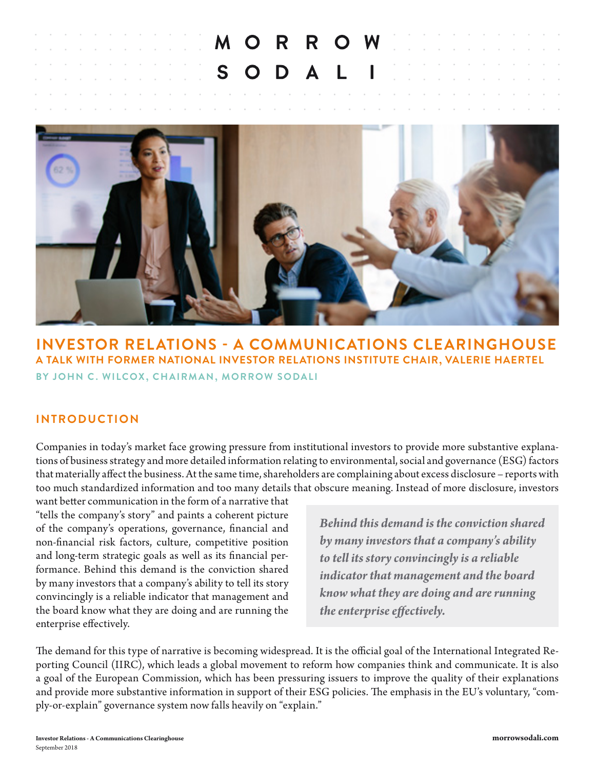the contract of the contract of

**Service** 

**Contractor** 

**Service** 



# **INVESTOR RELATIONS - A COMMUNICATIONS CLEARINGHOUSE A TALK WITH FORMER NATIONAL INVESTOR RELATIONS INSTITUTE CHAIR, VALERIE HAERTEL BY JOHN C. WILCOX, CHAIRMAN, MORROW SODALI**

## **INTRODUCTION**

Companies in today's market face growing pressure from institutional investors to provide more substantive explanations of business strategy and more detailed information relating to environmental, social and governance (ESG) factors that materially affect the business. At the same time, shareholders are complaining about excess disclosure – reports with too much standardized information and too many details that obscure meaning. Instead of more disclosure, investors

want better communication in the form of a narrative that "tells the company's story" and paints a coherent picture of the company's operations, governance, financial and non-financial risk factors, culture, competitive position and long-term strategic goals as well as its financial performance. Behind this demand is the conviction shared by many investors that a company's ability to tell its story convincingly is a reliable indicator that management and the board know what they are doing and are running the enterprise effectively.

*Behind this demand is the conviction shared by many investors that a company's ability to tell its story convincingly is a reliable indicator that management and the board know what they are doing and are running the enterprise effectively.*

The demand for this type of narrative is becoming widespread. It is the official goal of the International Integrated Reporting Council (IIRC), which leads a global movement to reform how companies think and communicate. It is also a goal of the European Commission, which has been pressuring issuers to improve the quality of their explanations and provide more substantive information in support of their ESG policies. The emphasis in the EU's voluntary, "comply-or-explain" governance system now falls heavily on "explain."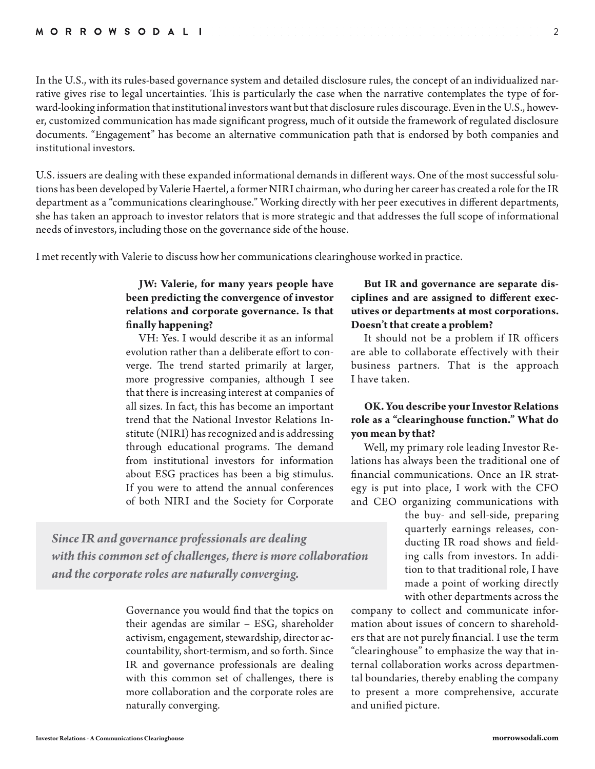In the U.S., with its rules-based governance system and detailed disclosure rules, the concept of an individualized narrative gives rise to legal uncertainties. This is particularly the case when the narrative contemplates the type of forward-looking information that institutional investors want but that disclosure rules discourage. Even in the U.S., however, customized communication has made significant progress, much of it outside the framework of regulated disclosure documents. "Engagement" has become an alternative communication path that is endorsed by both companies and institutional investors.

U.S. issuers are dealing with these expanded informational demands in different ways. One of the most successful solutions has been developed by Valerie Haertel, a former NIRI chairman, who during her career has created a role for the IR department as a "communications clearinghouse." Working directly with her peer executives in different departments, she has taken an approach to investor relators that is more strategic and that addresses the full scope of informational needs of investors, including those on the governance side of the house.

I met recently with Valerie to discuss how her communications clearinghouse worked in practice.

#### **JW: Valerie, for many years people have been predicting the convergence of investor relations and corporate governance. Is that finally happening?**

VH: Yes. I would describe it as an informal evolution rather than a deliberate effort to converge. The trend started primarily at larger, more progressive companies, although I see that there is increasing interest at companies of all sizes. In fact, this has become an important trend that the National Investor Relations Institute (NIRI) has recognized and is addressing through educational programs. The demand from institutional investors for information about ESG practices has been a big stimulus. If you were to attend the annual conferences of both NIRI and the Society for Corporate

*Since IR and governance professionals are dealing with this common set of challenges, there is more collaboration and the corporate roles are naturally converging.*

> Governance you would find that the topics on their agendas are similar – ESG, shareholder activism, engagement, stewardship, director accountability, short-termism, and so forth. Since IR and governance professionals are dealing with this common set of challenges, there is more collaboration and the corporate roles are naturally converging.

#### **But IR and governance are separate disciplines and are assigned to different executives or departments at most corporations. Doesn't that create a problem?**

2

It should not be a problem if IR officers are able to collaborate effectively with their business partners. That is the approach I have taken.

#### **OK. You describe your Investor Relations role as a "clearinghouse function." What do you mean by that?**

Well, my primary role leading Investor Relations has always been the traditional one of financial communications. Once an IR strategy is put into place, I work with the CFO and CEO organizing communications with

the buy- and sell-side, preparing quarterly earnings releases, conducting IR road shows and fielding calls from investors. In addition to that traditional role, I have made a point of working directly with other departments across the

company to collect and communicate information about issues of concern to shareholders that are not purely financial. I use the term "clearinghouse" to emphasize the way that internal collaboration works across departmental boundaries, thereby enabling the company to present a more comprehensive, accurate and unified picture.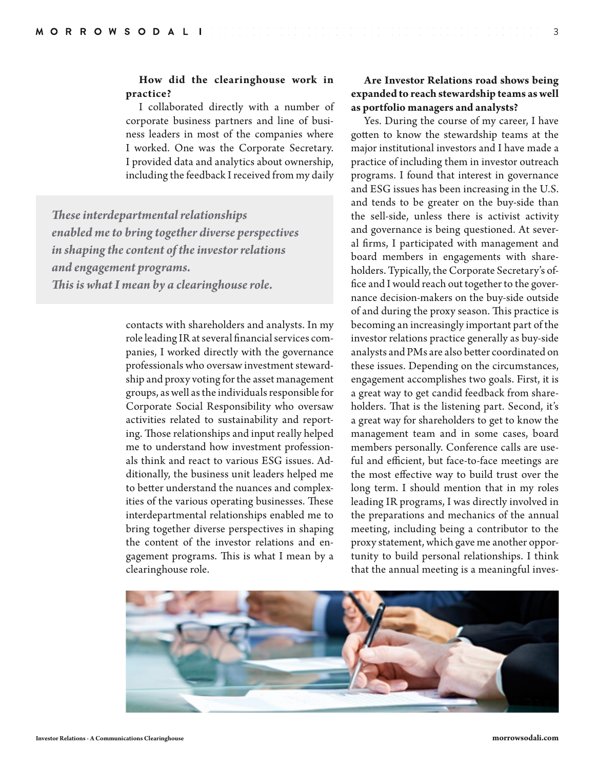#### **How did the clearinghouse work in practice?**

I collaborated directly with a number of corporate business partners and line of business leaders in most of the companies where I worked. One was the Corporate Secretary. I provided data and analytics about ownership, including the feedback I received from my daily

*These interdepartmental relationships enabled me to bring together diverse perspectives in shaping the content of the investor relations and engagement programs. This is what I mean by a clearinghouse role.*

> contacts with shareholders and analysts. In my role leading IR at several financial services companies, I worked directly with the governance professionals who oversaw investment stewardship and proxy voting for the asset management groups, as well as the individuals responsible for Corporate Social Responsibility who oversaw activities related to sustainability and reporting. Those relationships and input really helped me to understand how investment professionals think and react to various ESG issues. Additionally, the business unit leaders helped me to better understand the nuances and complexities of the various operating businesses. These interdepartmental relationships enabled me to bring together diverse perspectives in shaping the content of the investor relations and engagement programs. This is what I mean by a clearinghouse role.

#### **Are Investor Relations road shows being expanded to reach stewardship teams as well as portfolio managers and analysts?**

Yes. During the course of my career, I have gotten to know the stewardship teams at the major institutional investors and I have made a practice of including them in investor outreach programs. I found that interest in governance and ESG issues has been increasing in the U.S. and tends to be greater on the buy-side than the sell-side, unless there is activist activity and governance is being questioned. At several firms, I participated with management and board members in engagements with shareholders. Typically, the Corporate Secretary's office and I would reach out together to the governance decision-makers on the buy-side outside of and during the proxy season. This practice is becoming an increasingly important part of the investor relations practice generally as buy-side analysts and PMs are also better coordinated on these issues. Depending on the circumstances, engagement accomplishes two goals. First, it is a great way to get candid feedback from shareholders. That is the listening part. Second, it's a great way for shareholders to get to know the management team and in some cases, board members personally. Conference calls are useful and efficient, but face-to-face meetings are the most effective way to build trust over the long term. I should mention that in my roles leading IR programs, I was directly involved in the preparations and mechanics of the annual meeting, including being a contributor to the proxy statement, which gave me another opportunity to build personal relationships. I think that the annual meeting is a meaningful inves-

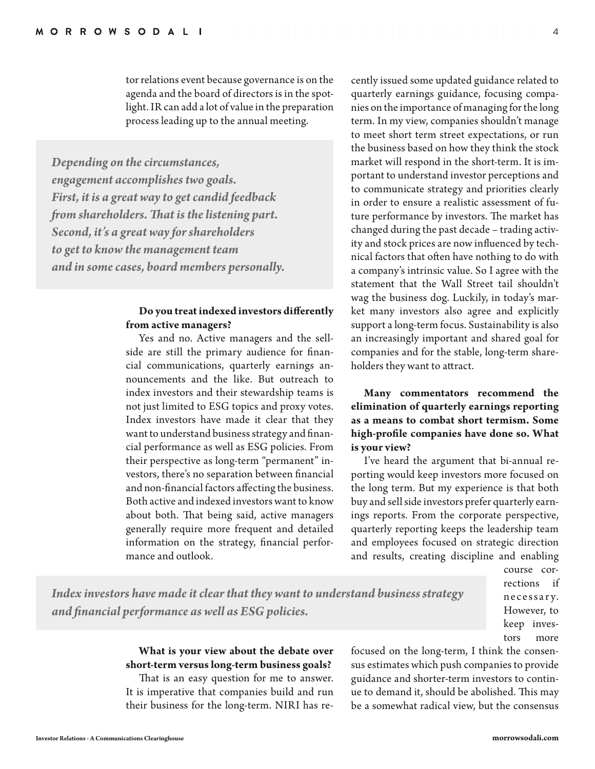tor relations event because governance is on the agenda and the board of directors is in the spotlight. IR can add a lot of value in the preparation process leading up to the annual meeting.

*Depending on the circumstances, engagement accomplishes two goals. First, it is a great way to get candid feedback from shareholders. That is the listening part. Second, it's a great way for shareholders to get to know the management team and in some cases, board members personally.*

#### **Do you treat indexed investors differently from active managers?**

Yes and no. Active managers and the sellside are still the primary audience for financial communications, quarterly earnings announcements and the like. But outreach to index investors and their stewardship teams is not just limited to ESG topics and proxy votes. Index investors have made it clear that they want to understand business strategy and financial performance as well as ESG policies. From their perspective as long-term "permanent" investors, there's no separation between financial and non-financial factors affecting the business. Both active and indexed investors want to know about both. That being said, active managers generally require more frequent and detailed information on the strategy, financial performance and outlook.

cently issued some updated guidance related to quarterly earnings guidance, focusing companies on the importance of managing for the long term. In my view, companies shouldn't manage to meet short term street expectations, or run the business based on how they think the stock market will respond in the short-term. It is important to understand investor perceptions and to communicate strategy and priorities clearly in order to ensure a realistic assessment of future performance by investors. The market has changed during the past decade – trading activity and stock prices are now influenced by technical factors that often have nothing to do with a company's intrinsic value. So I agree with the statement that the Wall Street tail shouldn't wag the business dog. Luckily, in today's market many investors also agree and explicitly support a long-term focus. Sustainability is also an increasingly important and shared goal for companies and for the stable, long-term shareholders they want to attract.

#### **Many commentators recommend the elimination of quarterly earnings reporting as a means to combat short termism. Some high-profile companies have done so. What is your view?**

I've heard the argument that bi-annual reporting would keep investors more focused on the long term. But my experience is that both buy and sell side investors prefer quarterly earnings reports. From the corporate perspective, quarterly reporting keeps the leadership team and employees focused on strategic direction and results, creating discipline and enabling

> course corrections if necessary. However, to keep investors more

4

# *Index investors have made it clear that they want to understand business strategy and financial performance as well as ESG policies.*

#### **What is your view about the debate over short-term versus long-term business goals?**

That is an easy question for me to answer. It is imperative that companies build and run their business for the long-term. NIRI has refocused on the long-term, I think the consensus estimates which push companies to provide guidance and shorter-term investors to continue to demand it, should be abolished. This may be a somewhat radical view, but the consensus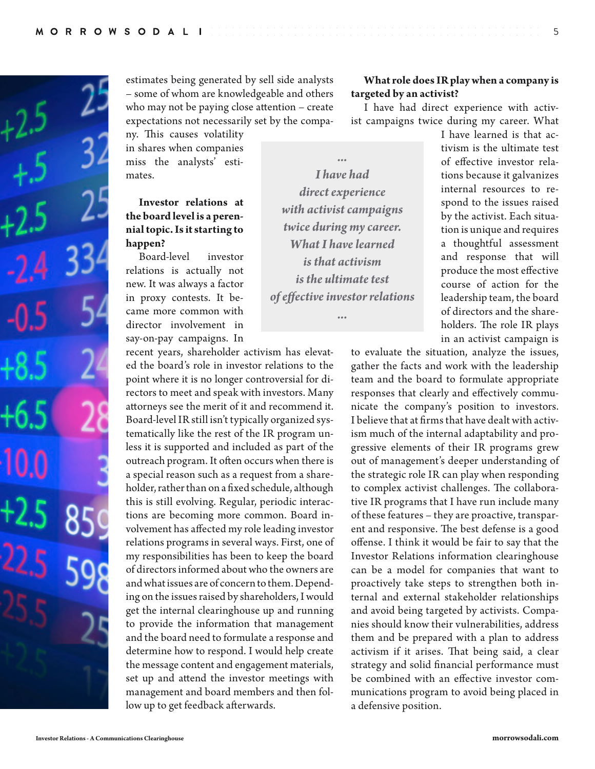

estimates being generated by sell side analysts – some of whom are knowledgeable and others who may not be paying close attention – create expectations not necessarily set by the compa-

ny. This causes volatility in shares when companies miss the analysts' estimates.

### **Investor relations at the board level is a perennial topic. Is it starting to happen?**

Board-level investor relations is actually not new. It was always a factor in proxy contests. It became more common with director involvement in say-on-pay campaigns. In

recent years, shareholder activism has elevated the board's role in investor relations to the point where it is no longer controversial for directors to meet and speak with investors. Many attorneys see the merit of it and recommend it. Board-level IR still isn't typically organized systematically like the rest of the IR program unless it is supported and included as part of the outreach program. It often occurs when there is a special reason such as a request from a shareholder, rather than on a fixed schedule, although this is still evolving. Regular, periodic interactions are becoming more common. Board involvement has affected my role leading investor relations programs in several ways. First, one of my responsibilities has been to keep the board of directors informed about who the owners are and what issues are of concern to them. Depending on the issues raised by shareholders, I would get the internal clearinghouse up and running to provide the information that management and the board need to formulate a response and determine how to respond. I would help create the message content and engagement materials, set up and attend the investor meetings with management and board members and then follow up to get feedback afterwards.

*... I have had direct experience with activist campaigns twice during my career. What I have learned is that activism is the ultimate test of effective investor relations*

*...*

**What role does IR play when a company is targeted by an activist?**

I have had direct experience with activist campaigns twice during my career. What

I have learned is that activism is the ultimate test of effective investor relations because it galvanizes internal resources to respond to the issues raised by the activist. Each situation is unique and requires a thoughtful assessment and response that will produce the most effective course of action for the leadership team, the board of directors and the shareholders. The role IR plays in an activist campaign is

to evaluate the situation, analyze the issues, gather the facts and work with the leadership team and the board to formulate appropriate responses that clearly and effectively communicate the company's position to investors. I believe that at firms that have dealt with activism much of the internal adaptability and progressive elements of their IR programs grew out of management's deeper understanding of the strategic role IR can play when responding to complex activist challenges. The collaborative IR programs that I have run include many of these features – they are proactive, transparent and responsive. The best defense is a good offense. I think it would be fair to say that the Investor Relations information clearinghouse can be a model for companies that want to proactively take steps to strengthen both internal and external stakeholder relationships and avoid being targeted by activists. Companies should know their vulnerabilities, address them and be prepared with a plan to address activism if it arises. That being said, a clear strategy and solid financial performance must be combined with an effective investor communications program to avoid being placed in a defensive position.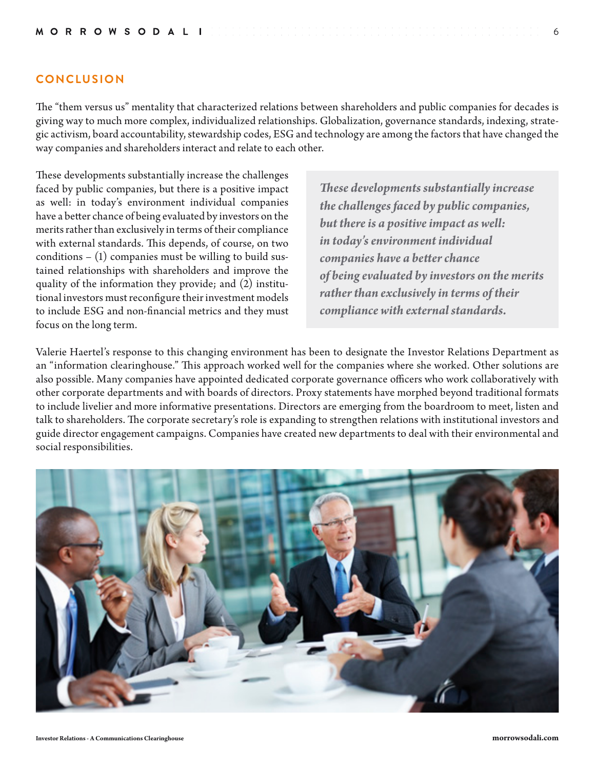#### **CONCLUSION**

The "them versus us" mentality that characterized relations between shareholders and public companies for decades is giving way to much more complex, individualized relationships. Globalization, governance standards, indexing, strategic activism, board accountability, stewardship codes, ESG and technology are among the factors that have changed the way companies and shareholders interact and relate to each other.

These developments substantially increase the challenges faced by public companies, but there is a positive impact as well: in today's environment individual companies have a better chance of being evaluated by investors on the merits rather than exclusively in terms of their compliance with external standards. This depends, of course, on two  $conditions - (1)$  companies must be willing to build sustained relationships with shareholders and improve the quality of the information they provide; and (2) institutional investors must reconfigure their investment models to include ESG and non-financial metrics and they must focus on the long term.

*These developments substantially increase the challenges faced by public companies, but there is a positive impact as well: in today's environment individual companies have a better chance of being evaluated by investors on the merits rather than exclusively in terms of their compliance with external standards.* 

Valerie Haertel's response to this changing environment has been to designate the Investor Relations Department as an "information clearinghouse." This approach worked well for the companies where she worked. Other solutions are also possible. Many companies have appointed dedicated corporate governance officers who work collaboratively with other corporate departments and with boards of directors. Proxy statements have morphed beyond traditional formats to include livelier and more informative presentations. Directors are emerging from the boardroom to meet, listen and talk to shareholders. The corporate secretary's role is expanding to strengthen relations with institutional investors and guide director engagement campaigns. Companies have created new departments to deal with their environmental and social responsibilities.